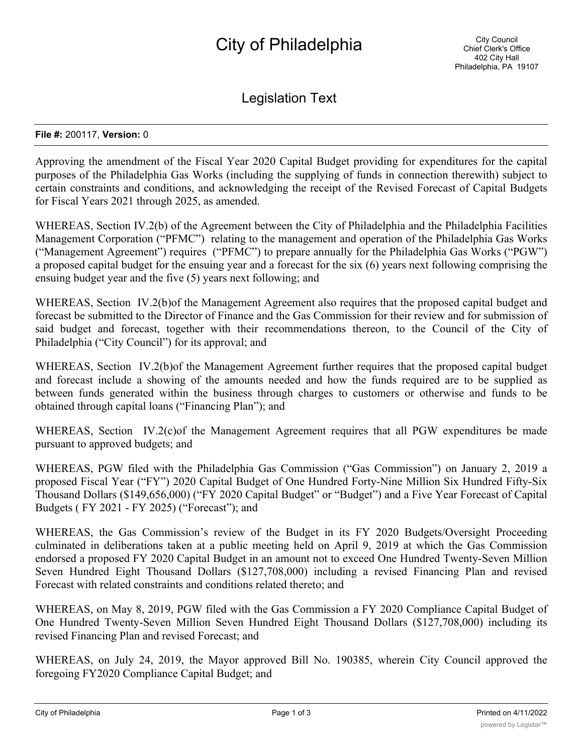Legislation Text

## **File #:** 200117, **Version:** 0

Approving the amendment of the Fiscal Year 2020 Capital Budget providing for expenditures for the capital purposes of the Philadelphia Gas Works (including the supplying of funds in connection therewith) subject to certain constraints and conditions, and acknowledging the receipt of the Revised Forecast of Capital Budgets for Fiscal Years 2021 through 2025, as amended.

WHEREAS, Section IV.2(b) of the Agreement between the City of Philadelphia and the Philadelphia Facilities Management Corporation ("PFMC") relating to the management and operation of the Philadelphia Gas Works ("Management Agreement") requires ("PFMC") to prepare annually for the Philadelphia Gas Works ("PGW") a proposed capital budget for the ensuing year and a forecast for the six (6) years next following comprising the ensuing budget year and the five (5) years next following; and

WHEREAS, Section IV.2(b) of the Management Agreement also requires that the proposed capital budget and forecast be submitted to the Director of Finance and the Gas Commission for their review and for submission of said budget and forecast, together with their recommendations thereon, to the Council of the City of Philadelphia ("City Council") for its approval; and

WHEREAS, Section IV.2(b) of the Management Agreement further requires that the proposed capital budget and forecast include a showing of the amounts needed and how the funds required are to be supplied as between funds generated within the business through charges to customers or otherwise and funds to be obtained through capital loans ("Financing Plan"); and

WHEREAS, Section IV.2(c) of the Management Agreement requires that all PGW expenditures be made pursuant to approved budgets; and

WHEREAS, PGW filed with the Philadelphia Gas Commission ("Gas Commission") on January 2, 2019 a proposed Fiscal Year ("FY") 2020 Capital Budget of One Hundred Forty-Nine Million Six Hundred Fifty-Six Thousand Dollars (\$149,656,000) ("FY 2020 Capital Budget" or "Budget") and a Five Year Forecast of Capital Budgets ( FY 2021 - FY 2025) ("Forecast"); and

WHEREAS, the Gas Commission's review of the Budget in its FY 2020 Budgets/Oversight Proceeding culminated in deliberations taken at a public meeting held on April 9, 2019 at which the Gas Commission endorsed a proposed FY 2020 Capital Budget in an amount not to exceed One Hundred Twenty-Seven Million Seven Hundred Eight Thousand Dollars (\$127,708,000) including a revised Financing Plan and revised Forecast with related constraints and conditions related thereto; and

WHEREAS, on May 8, 2019, PGW filed with the Gas Commission a FY 2020 Compliance Capital Budget of One Hundred Twenty-Seven Million Seven Hundred Eight Thousand Dollars (\$127,708,000) including its revised Financing Plan and revised Forecast; and

WHEREAS, on July 24, 2019, the Mayor approved Bill No. 190385, wherein City Council approved the foregoing FY2020 Compliance Capital Budget; and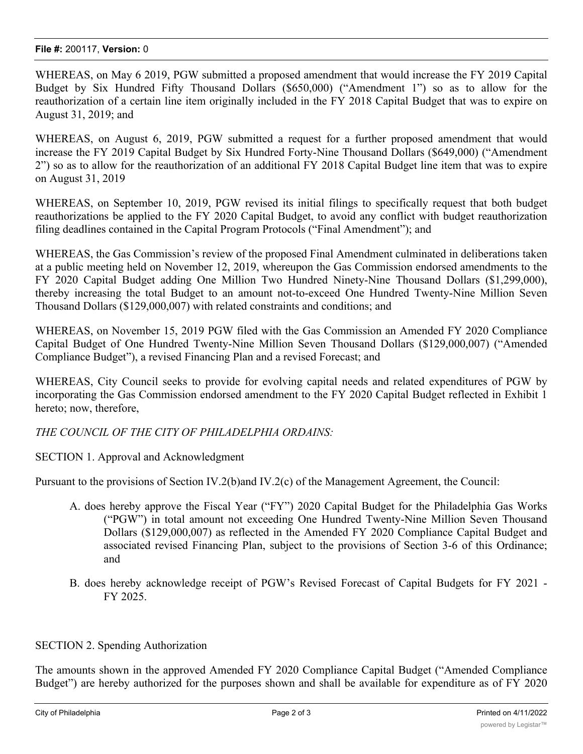WHEREAS, on May 6 2019, PGW submitted a proposed amendment that would increase the FY 2019 Capital Budget by Six Hundred Fifty Thousand Dollars (\$650,000) ("Amendment 1") so as to allow for the reauthorization of a certain line item originally included in the FY 2018 Capital Budget that was to expire on August 31, 2019; and

WHEREAS, on August 6, 2019, PGW submitted a request for a further proposed amendment that would increase the FY 2019 Capital Budget by Six Hundred Forty-Nine Thousand Dollars (\$649,000) ("Amendment 2") so as to allow for the reauthorization of an additional FY 2018 Capital Budget line item that was to expire on August 31, 2019

WHEREAS, on September 10, 2019, PGW revised its initial filings to specifically request that both budget reauthorizations be applied to the FY 2020 Capital Budget, to avoid any conflict with budget reauthorization filing deadlines contained in the Capital Program Protocols ("Final Amendment"); and

WHEREAS, the Gas Commission's review of the proposed Final Amendment culminated in deliberations taken at a public meeting held on November 12, 2019, whereupon the Gas Commission endorsed amendments to the FY 2020 Capital Budget adding One Million Two Hundred Ninety-Nine Thousand Dollars (\$1,299,000), thereby increasing the total Budget to an amount not-to-exceed One Hundred Twenty-Nine Million Seven Thousand Dollars (\$129,000,007) with related constraints and conditions; and

WHEREAS, on November 15, 2019 PGW filed with the Gas Commission an Amended FY 2020 Compliance Capital Budget of One Hundred Twenty-Nine Million Seven Thousand Dollars (\$129,000,007) ("Amended Compliance Budget"), a revised Financing Plan and a revised Forecast; and

WHEREAS, City Council seeks to provide for evolving capital needs and related expenditures of PGW by incorporating the Gas Commission endorsed amendment to the FY 2020 Capital Budget reflected in Exhibit 1 hereto; now, therefore,

*THE COUNCIL OF THE CITY OF PHILADELPHIA ORDAINS:*

SECTION 1. Approval and Acknowledgment

Pursuant to the provisions of Section IV.2(b)and IV.2(c) of the Management Agreement, the Council:

- A. does hereby approve the Fiscal Year ("FY") 2020 Capital Budget for the Philadelphia Gas Works ("PGW") in total amount not exceeding One Hundred Twenty-Nine Million Seven Thousand Dollars (\$129,000,007) as reflected in the Amended FY 2020 Compliance Capital Budget and associated revised Financing Plan, subject to the provisions of Section 3-6 of this Ordinance; and
- B. does hereby acknowledge receipt of PGW's Revised Forecast of Capital Budgets for FY 2021 FY 2025.

## SECTION 2. Spending Authorization

The amounts shown in the approved Amended FY 2020 Compliance Capital Budget ("Amended Compliance Budget") are hereby authorized for the purposes shown and shall be available for expenditure as of FY 2020